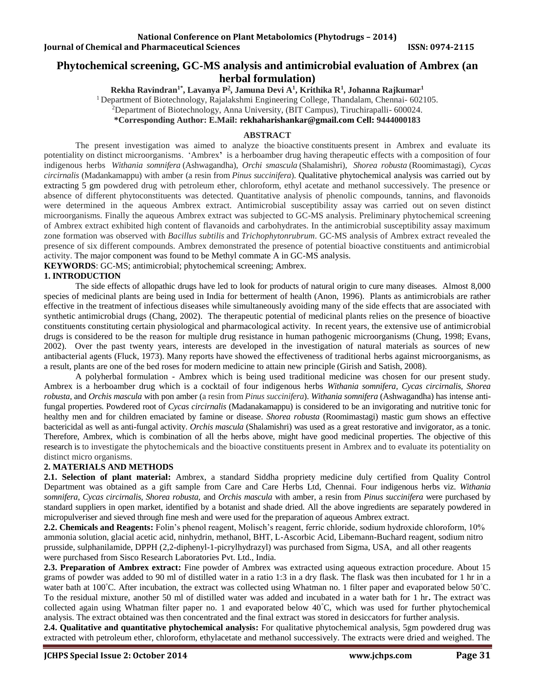# **Phytochemical screening, GC-MS analysis and antimicrobial evaluation of Ambrex (an herbal formulation)**

**Rekha Ravindran1\*, Lavanya P<sup>2</sup> , Jamuna Devi A<sup>1</sup> , Krithika R<sup>1</sup> , Johanna Rajkumar<sup>1</sup>**

<sup>1</sup> Department of Biotechnology, Rajalakshmi Engineering College, Thandalam, Chennai- 602105. <sup>2</sup>Department of Biotechnology, Anna University, (BIT Campus), Tiruchirapalli- 600024.

**\*Corresponding Author: E.Mail: rekhaharishankar@gmail.com Cell: 9444000183**

## **ABSTRACT**

The present investigation was aimed to analyze the bioactive constituents present in Ambrex and evaluate its potentiality on distinct microorganisms. 'Ambrex**'** is a herboamber drug having therapeutic effects with a composition of four indigenous herbs *Withania somnifera* (Ashwagandha), *Orchi smascula* (Shalamishri), *Shorea robusta* (Roomimastagi), *Cycas circirnalis* (Madankamappu) with amber (a resin from *Pinus succinifera*). Qualitative phytochemical analysis was carried out by extracting 5 gm powdered drug with petroleum ether, chloroform, ethyl acetate and methanol successively. The presence or absence of different phytoconstituents was detected. Quantitative analysis of phenolic compounds, tannins, and flavonoids were determined in the aqueous Ambrex extract. Antimicrobial susceptibility assay was carried out on seven distinct microorganisms. Finally the aqueous Ambrex extract was subjected to GC-MS analysis. Preliminary phytochemical screening of Ambrex extract exhibited high content of flavanoids and carbohydrates. In the antimicrobial susceptibility assay maximum zone formation was observed with *Bacillus subtilis* and *Trichophytonrubrum*. GC-MS analysis of Ambrex extract revealed the presence of six different compounds. Ambrex demonstrated the presence of potential bioactive constituents and antimicrobial activity. The major component was found to be Methyl commate A in GC-MS analysis.

**KEYWORDS**: GC-MS; antimicrobial; phytochemical screening; Ambrex.

## **1. INTRODUCTION**

The side effects of allopathic drugs have led to look for products of natural origin to cure many diseases. Almost 8,000 species of medicinal plants are being used in India for betterment of health (Anon, 1996). Plants as antimicrobials are rather effective in the treatment of infectious diseases while simultaneously avoiding many of the side effects that are associated with synthetic antimicrobial drugs (Chang, 2002). The therapeutic potential of medicinal plants relies on the presence of bioactive constituents constituting certain physiological and pharmacological activity. In recent years, the extensive use of antimicrobial drugs is considered to be the reason for multiple drug resistance in human pathogenic microorganisms (Chung, 1998; Evans, 2002). Over the past twenty years, interests are developed in the investigation of natural materials as sources of new antibacterial agents (Fluck, 1973). Many reports have showed the effectiveness of traditional herbs against microorganisms, as a result, plants are one of the bed roses for modern medicine to attain new principle (Girish and Satish, 2008).

A polyherbal formulation - Ambrex which is being used traditional medicine was chosen for our present study. Ambrex is a herboamber drug which is a cocktail of four indigenous herbs *Withania somnifera, Cycas circirnalis, Shorea robusta,* and *Orchis mascula* with pon amber (a resin from *Pinus succinifera*). *Withania somnifera* (Ashwagandha) has intense antifungal properties. Powdered root of *Cycas circirnalis* (Madanakamappu) is considered to be an invigorating and nutritive tonic for healthy men and for children emaciated by famine or disease. *Shorea robusta* (Roomimastagi) mastic gum shows an effective bactericidal as well as anti-fungal activity. *Orchis mascula* (Shalamishri) was used as a great restorative and invigorator, as a tonic. Therefore, Ambrex, which is combination of all the herbs above, might have good medicinal properties. The objective of this research is to investigate the phytochemicals and the bioactive constituents present in Ambrex and to evaluate its potentiality on distinct micro organisms.

## **2. MATERIALS AND METHODS**

**2.1. Selection of plant material:** Ambrex, a standard Siddha propriety medicine duly certified from Quality Control Department was obtained as a gift sample from Care and Care Herbs Ltd, Chennai. Four indigenous herbs viz. *Withania somnifera, Cycas circirnalis, Shorea robusta,* and *Orchis mascula* with amber, a resin from *Pinus succinifera* were purchased by standard suppliers in open market, identified by a botanist and shade dried. All the above ingredients are separately powdered in micropulveriser and sieved through fine mesh and were used for the preparation of aqueous Ambrex extract.

**2.2. Chemicals and Reagents:** Folin's phenol reagent, Molisch's reagent, ferric chloride, sodium hydroxide chloroform, 10% ammonia solution, glacial acetic acid, ninhydrin, methanol, BHT, L-Ascorbic Acid, Libemann-Buchard reagent, sodium nitro prusside, sulphanilamide, DPPH (2,2-diphenyl-1-picrylhydrazyl) was purchased from Sigma, USA, and all other reagents were purchased from Sisco Research Laboratories Pvt. Ltd., India.

**2.3. Preparation of Ambrex extract:** Fine powder of Ambrex was extracted using aqueous extraction procedure. About 15 grams of powder was added to 90 ml of distilled water in a ratio 1:3 in a dry flask. The flask was then incubated for 1 hr in a water bath at  $100^{\circ}$ C. After incubation, the extract was collected using Whatman no. 1 filter paper and evaporated below 50 $^{\circ}$ C. To the residual mixture, another 50 ml of distilled water was added and incubated in a water bath for 1 hr**.** The extract was collected again using Whatman filter paper no. 1 and evaporated below 40°C, which was used for further phytochemical analysis. The extract obtained was then concentrated and the final extract was stored in desiccators for further analysis.

**2.4. Qualitative and quantitative phytochemical analysis:** For qualitative phytochemical analysis, 5gm powdered drug was extracted with petroleum ether, chloroform, ethylacetate and methanol successively. The extracts were dried and weighed. The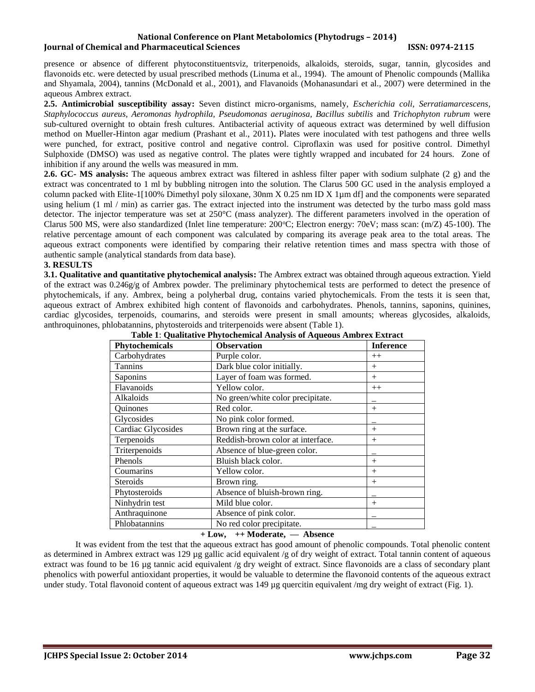### **National Conference on Plant Metabolomics (Phytodrugs – 2014) Iournal of Chemical and Pharmaceutical Sciences ISSN: 0974-2115**

presence or absence of different phytoconstituentsviz, triterpenoids, alkaloids, steroids, sugar, tannin, glycosides and flavonoids etc. were detected by usual prescribed methods (Linuma et al., 1994). The amount of Phenolic compounds (Mallika and Shyamala, 2004), tannins (McDonald et al., 2001), and Flavanoids (Mohanasundari et al., 2007) were determined in the aqueous Ambrex extract.

**2.5. Antimicrobial susceptibility assay:** Seven distinct micro-organisms, namely, *Escherichia coli, Serratiamarcescens, Staphylococcus aureus, Aeromonas hydrophila, Pseudomonas aeruginosa, Bacillus subtilis* and *Trichophyton rubrum* were sub-cultured overnight to obtain fresh cultures. Antibacterial activity of aqueous extract was determined by well diffusion method on Mueller-Hinton agar medium (Prashant et al., 2011)**.** Plates were inoculated with test pathogens and three wells were punched, for extract, positive control and negative control. Ciproflaxin was used for positive control. Dimethyl Sulphoxide (DMSO) was used as negative control. The plates were tightly wrapped and incubated for 24 hours. Zone of inhibition if any around the wells was measured in mm.

**2.6. GC- MS analysis:** The aqueous ambrex extract was filtered in ashless filter paper with sodium sulphate (2 g) and the extract was concentrated to 1 ml by bubbling nitrogen into the solution. The Clarus 500 GC used in the analysis employed a column packed with Elite-1[100% Dimethyl poly siloxane, 30nm X 0.25 nm ID X 1µm df] and the components were separated using helium  $(1 \text{ ml } / \text{ min})$  as carrier gas. The extract injected into the instrument was detected by the turbo mass gold mass detector. The injector temperature was set at 250°C (mass analyzer). The different parameters involved in the operation of Clarus 500 MS, were also standardized (Inlet line temperature:  $200^{\circ}$ C; Electron energy: 70eV; mass scan: (m/Z) 45-100). The relative percentage amount of each component was calculated by comparing its average peak area to the total areas. The aqueous extract components were identified by comparing their relative retention times and mass spectra with those of authentic sample (analytical standards from data base).

### **3. RESULTS**

**3.1. Qualitative and quantitative phytochemical analysis:** The Ambrex extract was obtained through aqueous extraction. Yield of the extract was  $0.246g/g$  of Ambrex powder. The preliminary phytochemical tests are performed to detect the presence of phytochemicals, if any. Ambrex, being a polyherbal drug, contains varied phytochemicals. From the tests it is seen that, aqueous extract of Ambrex exhibited high content of flavonoids and carbohydrates. Phenols, tannins, saponins, quinines, cardiac glycosides, terpenoids, coumarins, and steroids were present in small amounts; whereas glycosides, alkaloids, anthroquinones, phlobatannins, phytosteroids and triterpenoids were absent (Table 1).

| radic r. Quantative r hytoenemical Anarysis or Aqueous Annorex Extract |                                   |                  |  |  |
|------------------------------------------------------------------------|-----------------------------------|------------------|--|--|
| Phytochemicals                                                         | <b>Observation</b>                | <b>Inference</b> |  |  |
| Carbohydrates                                                          | Purple color.                     | $++$             |  |  |
| Tannins                                                                | Dark blue color initially.        | $^{+}$           |  |  |
| Saponins                                                               | Layer of foam was formed.         | $^{+}$           |  |  |
| Flavanoids                                                             | Yellow color.                     | $++$             |  |  |
| Alkaloids                                                              | No green/white color precipitate. |                  |  |  |
| <b>Ouinones</b>                                                        | Red color.                        | $+$              |  |  |
| Glycosides                                                             | No pink color formed.             |                  |  |  |
| Cardiac Glycosides                                                     | Brown ring at the surface.        | $^{+}$           |  |  |
| Terpenoids                                                             | Reddish-brown color at interface. | $^{+}$           |  |  |
| Triterpenoids                                                          | Absence of blue-green color.      |                  |  |  |
| Phenols                                                                | Bluish black color.               | $+$              |  |  |
| Coumarins                                                              | Yellow color.                     | $^{+}$           |  |  |
| <b>Steroids</b>                                                        | Brown ring.                       | $^{+}$           |  |  |
| Phytosteroids                                                          | Absence of bluish-brown ring.     |                  |  |  |
| Ninhydrin test                                                         | Mild blue color.                  | $+$              |  |  |
| Anthraquinone                                                          | Absence of pink color.            |                  |  |  |
| Phlobatannins                                                          | No red color precipitate.         |                  |  |  |
|                                                                        |                                   |                  |  |  |

## **Table 1**: **Qualitative Phytochemical Analysis of Aqueous Ambrex Extract**

#### **+ Low, ++ Moderate, — Absence**

It was evident from the test that the aqueous extract has good amount of phenolic compounds. Total phenolic content as determined in Ambrex extract was 129 µg gallic acid equivalent /g of dry weight of extract. Total tannin content of aqueous extract was found to be 16 µg tannic acid equivalent /g dry weight of extract. Since flavonoids are a class of secondary plant phenolics with powerful antioxidant properties, it would be valuable to determine the flavonoid contents of the aqueous extract under study. Total flavonoid content of aqueous extract was 149 µg quercitin equivalent /mg dry weight of extract (Fig. 1).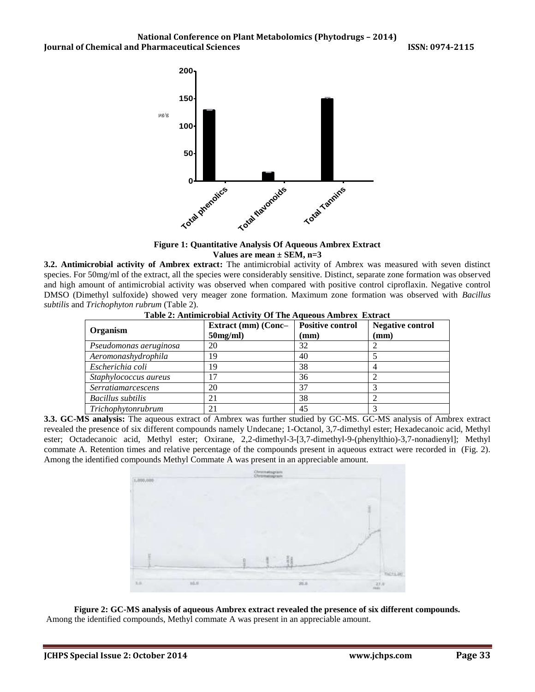

### **Figure 1: Quantitative Analysis Of Aqueous Ambrex Extract Values are mean ± SEM, n=3**

**3.2. Antimicrobial activity of Ambrex extract:** The antimicrobial activity of Ambrex was measured with seven distinct species. For 50mg/ml of the extract, all the species were considerably sensitive. Distinct, separate zone formation was observed and high amount of antimicrobial activity was observed when compared with positive control ciproflaxin. Negative control DMSO (Dimethyl sulfoxide) showed very meager zone formation. Maximum zone formation was observed with *Bacillus subtilis* and *Trichophyton rubrum* (Table 2).

| Table 2: Antimicrobial Activity Of The Aqueous Ambrex Extract |  |  |
|---------------------------------------------------------------|--|--|
|---------------------------------------------------------------|--|--|

| Organism                  | Extract (mm) (Conc-<br>$50$ mg/ml $)$ | <b>Positive control</b><br>$(\mathbf{mm})$ | <b>Negative control</b><br>(mm) |
|---------------------------|---------------------------------------|--------------------------------------------|---------------------------------|
| Pseudomonas aeruginosa    | 20                                    | 32                                         |                                 |
| Aeromonashydrophila       | 19                                    | 40                                         |                                 |
| Escherichia coli          | 19                                    | 38                                         |                                 |
| Staphylococcus aureus     | 17                                    | 36                                         |                                 |
| <b>Serratiamarcescens</b> | 20                                    | 37                                         |                                 |
| Bacillus subtilis         | 21                                    | 38                                         |                                 |
| Trichophytonrubrum        | 21                                    | 45                                         |                                 |

**3.3. GC-MS analysis:** The aqueous extract of Ambrex was further studied by GC-MS. GC-MS analysis of Ambrex extract revealed the presence of six different compounds namely Undecane; 1-Octanol, 3,7-dimethyl ester; Hexadecanoic acid, Methyl ester; Octadecanoic acid, Methyl ester; Oxirane, 2,2-dimethyl-3-[3,7-dimethyl-9-(phenylthio)-3,7-nonadienyl]; Methyl commate A. Retention times and relative percentage of the compounds present in aqueous extract were recorded in (Fig. 2). Among the identified compounds Methyl Commate A was present in an appreciable amount.



**Figure 2: GC-MS analysis of aqueous Ambrex extract revealed the presence of six different compounds.** Among the identified compounds, Methyl commate A was present in an appreciable amount.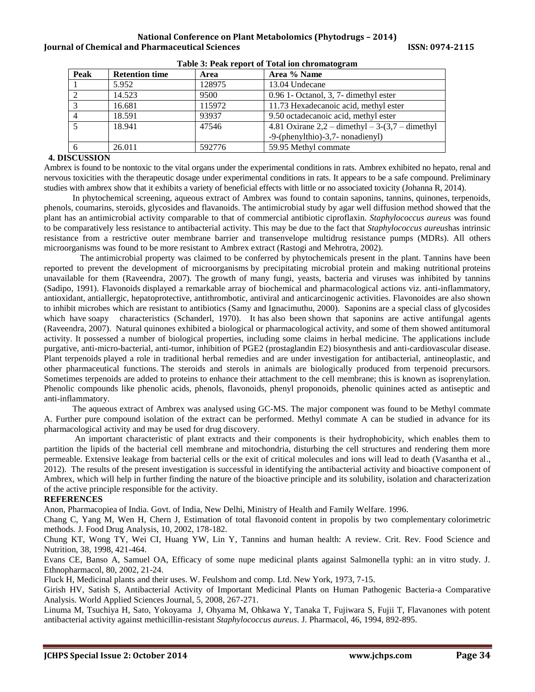| Peak | <b>Retention time</b> | Area   | Area % Name                                       |
|------|-----------------------|--------|---------------------------------------------------|
|      | 5.952                 | 128975 | 13.04 Undecane                                    |
|      | 14.523                | 9500   | $0.96$ 1 - Octanol, 3, 7 - dimethyl ester         |
|      | 16.681                | 115972 | 11.73 Hexadecanoic acid, methyl ester             |
|      | 18.591                | 93937  | 9.50 octadecanoic acid, methyl ester              |
|      | 18.941                | 47546  | 4.81 Oxirane $2,2$ – dimethyl – 3-(3,7 – dimethyl |
|      |                       |        | -9-(phenylthio)-3,7- nonadienyl)                  |
|      | 26.011                | 592776 | 59.95 Methyl commate                              |

**Table 3: Peak report of Total ion chromatogram**

## **4. DISCUSSION**

Ambrex is found to be nontoxic to the vital organs under the experimental conditions in rats. Ambrex exhibited no hepato, renal and nervous toxicities with the therapeutic dosage under experimental conditions in rats. It appears to be a safe compound. Preliminary studies with ambrex show that it exhibits a variety of beneficial effects with little or no associated toxicity (Johanna R, 2014).

 In phytochemical screening, aqueous extract of Ambrex was found to contain saponins, tannins, quinones, terpenoids, phenols, coumarins, steroids, glycosides and flavanoids. The antimicrobial study by agar well diffusion method showed that the plant has an antimicrobial activity comparable to that of commercial antibiotic ciproflaxin. *Staphylococcus aureus* was found to be comparatively less resistance to antibacterial activity. This may be due to the fact that *Staphylococcus aureus*has intrinsic resistance from a restrictive outer membrane barrier and transenvelope multidrug resistance pumps (MDRs). All others microorganisms was found to be more resistant to Ambrex extract (Rastogi and Mehrotra, 2002).

 The antimicrobial property was claimed to be conferred by phytochemicals present in the plant. Tannins have been reported to prevent the development of microorganisms by precipitating microbial protein and making nutritional proteins unavailable for them (Raveendra, 2007). The growth of many fungi, yeasts, bacteria and viruses was inhibited by tannins (Sadipo, 1991). Flavonoids displayed a remarkable array of biochemical and pharmacological actions viz. anti-inflammatory, antioxidant, antiallergic, hepatoprotective, antithrombotic, antiviral and anticarcinogenic activities. Flavonoides are also shown to inhibit microbes which are resistant to antibiotics (Samy and Ignacimuthu, 2000). Saponins are a special class of glycosides which have soapy characteristics (Schanderl, 1970). It has also been shown that saponins are active antifungal agents (Raveendra, 2007). Natural quinones exhibited a biological or pharmacological activity, and some of them showed antitumoral activity. It possessed a number of biological properties, including some claims in herbal medicine. The applications include purgative, anti-micro-bacterial, anti-tumor, inhibition of [PGE2](http://en.wikipedia.org/wiki/PGE2) (prostaglandin E2) biosynthesis and anti-cardiovascular disease. Plant terpenoids played a role in traditional herbal remedies and are under investigation for antibacterial, antineoplastic, and other pharmaceutical functions. The steroids and sterols in animals are biologically produced from terpenoid precursors. Sometimes terpenoids are added to proteins to enhance their attachment to the cell membrane; this is known as isoprenylation. Phenolic compounds like phenolic acids, phenols, flavonoids, phenyl proponoids, phenolic quinines acted as antiseptic and anti-inflammatory.

 The aqueous extract of Ambrex was analysed using GC-MS. The major component was found to be Methyl commate A. Further pure compound isolation of the extract can be performed. Methyl commate A can be studied in advance for its pharmacological activity and may be used for drug discovery.

 An important characteristic of plant extracts and their components is their hydrophobicity, which enables them to partition the lipids of the bacterial cell membrane and mitochondria, disturbing the cell structures and rendering them more permeable. Extensive leakage from bacterial cells or the exit of critical molecules and ions will lead to death (Vasantha et al., 2012). The results of the present investigation is successful in identifying the antibacterial activity and bioactive component of Ambrex, which will help in further finding the nature of the bioactive principle and its solubility, isolation and characterization of the active principle responsible for the activity.

## **REFERENCES**

Anon, Pharmacopiea of India. Govt. of India, New Delhi, Ministry of Health and Family Welfare. 1996.

Chang C, Yang M, Wen H, Chern J, Estimation of total flavonoid content in propolis by two complementary colorimetric methods. J. Food Drug Analysis, 10, 2002, 178-182.

Chung KT, Wong TY, Wei CI, Huang YW, Lin Y, Tannins and human health: A review. Crit. Rev. Food Science and Nutrition, 38, 1998, 421-464.

Evans CE, Banso A, Samuel OA, Efficacy of some nupe medicinal plants against Salmonella typhi: an in vitro study. J. Ethnopharmacol, 80, 2002, 21-24.

Fluck H, Medicinal plants and their uses. W. Feulshom and comp. Ltd. New York, 1973, 7-15.

Girish HV, Satish S, Antibacterial Activity of Important Medicinal Plants on Human Pathogenic Bacteria-a Comparative Analysis. World Applied Sciences Journal, 5, 2008, 267-271.

Linuma M, Tsuchiya H, Sato, Yokoyama J, Ohyama M, Ohkawa Y, Tanaka T, Fujiwara S, Fujii T, Flavanones with potent antibacterial activity against methicillin-resistant *Staphylococcus aureus*. J. Pharmacol, 46, 1994, 892-895.